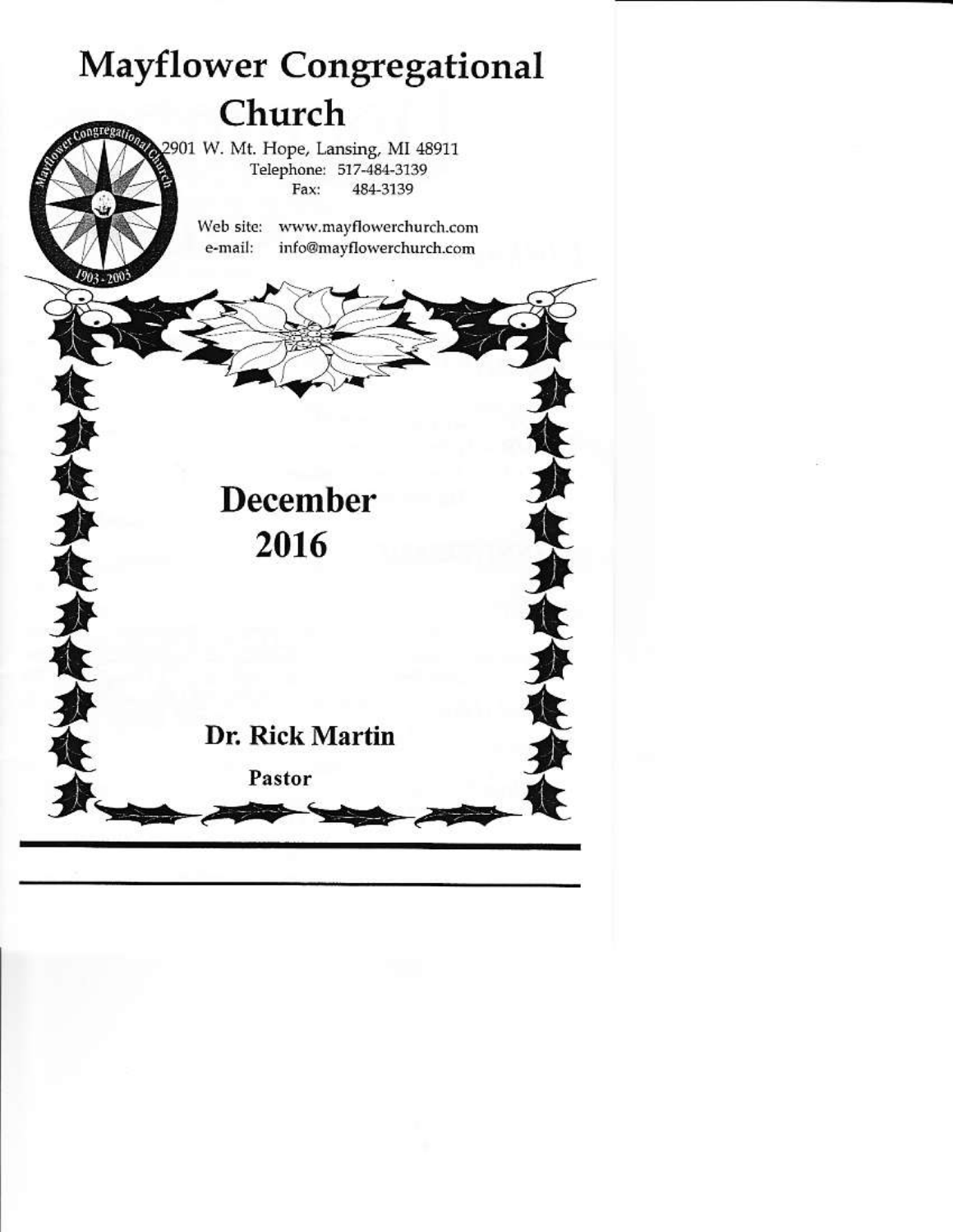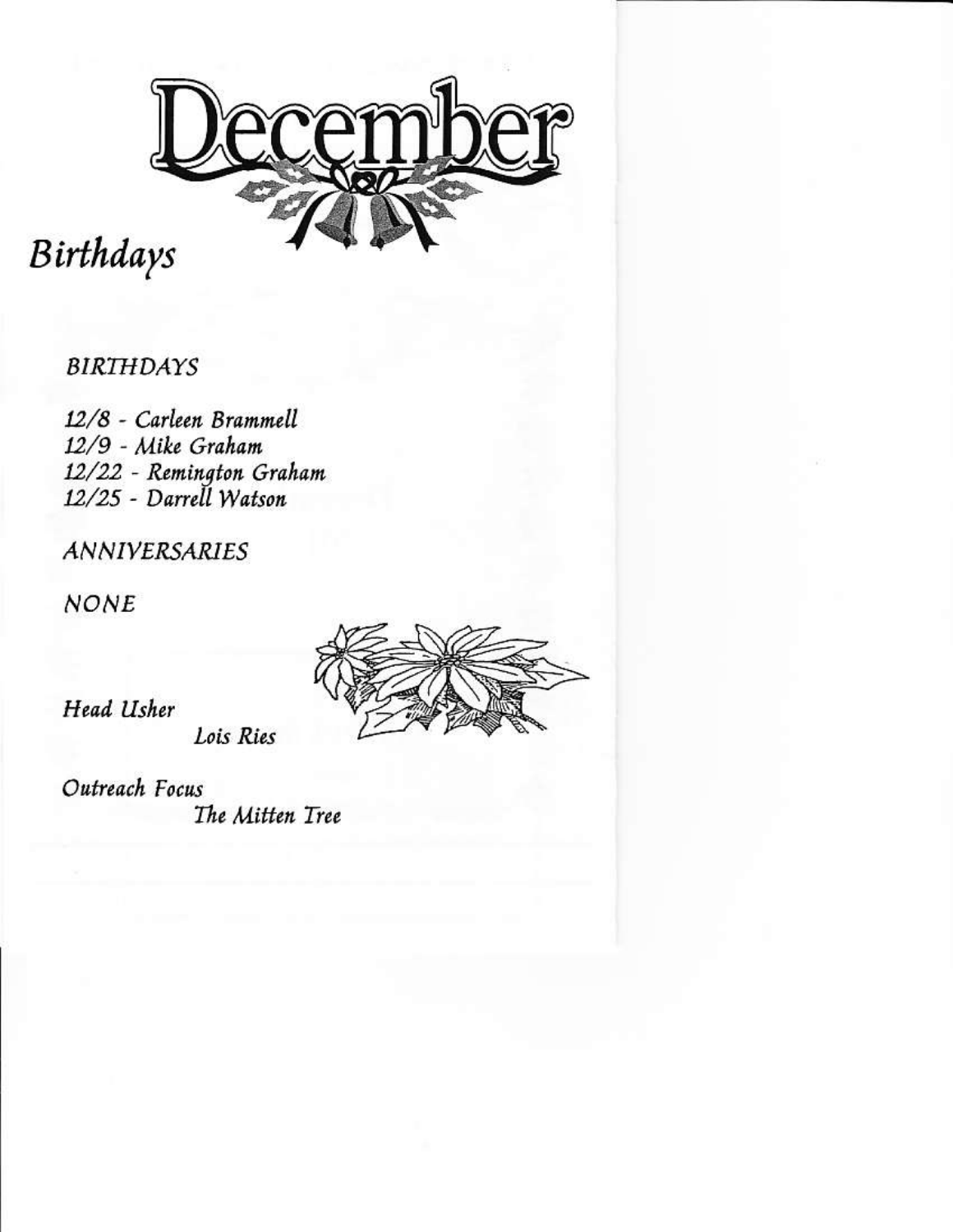

# Birthdays

# **BIRTHDAYS**

12/8 - Carleen Brammell 12/9 - Mike Graham 12/22 - Remington Graham 12/25 - Darrell Watson

**ANNIVERSARIES** 

**NONE** 



Head Usher

Lois Ries

Outreach Focus The Mitten Tree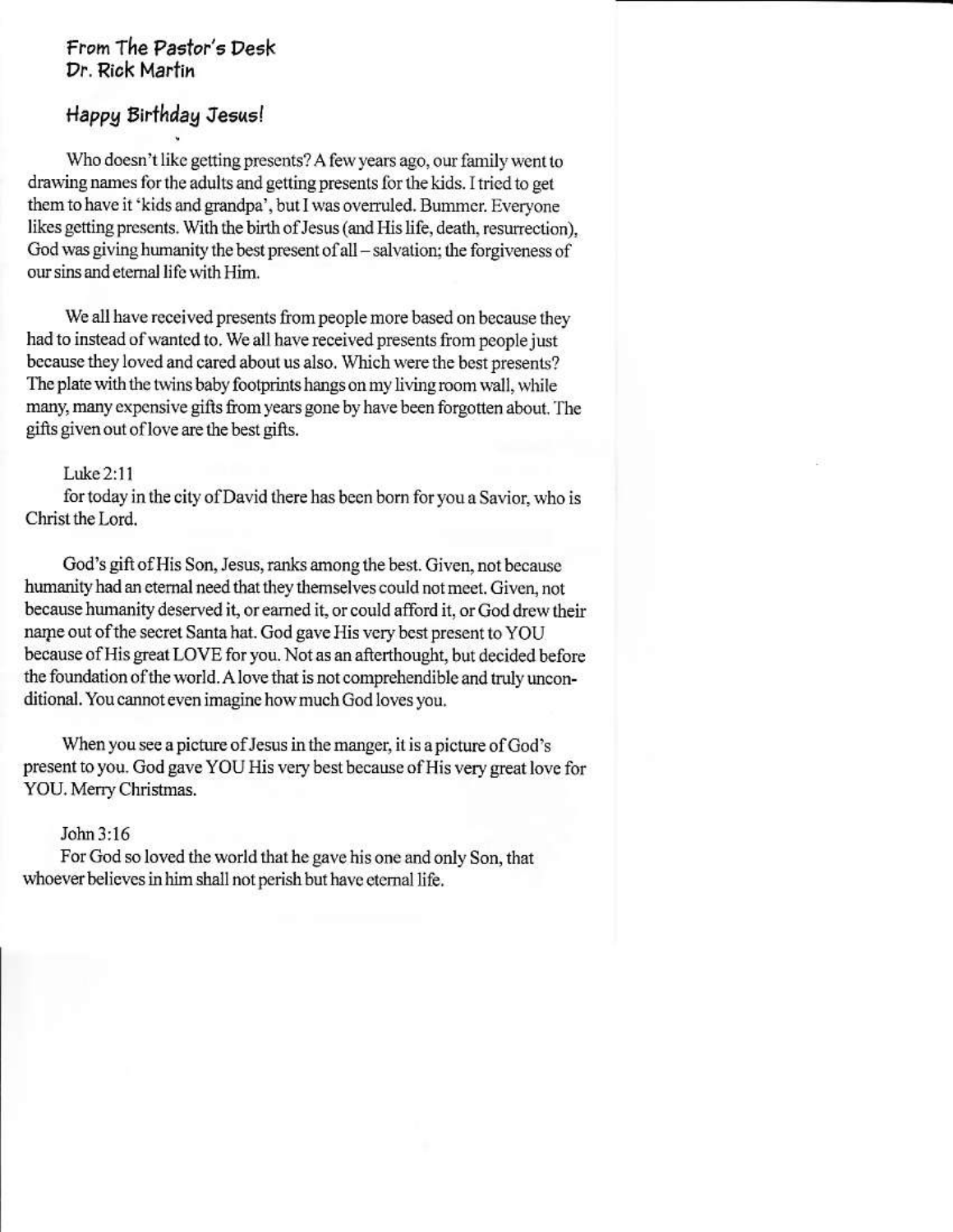## From The Pastor's Desk Dr. Rick Martin

# Happy Birthday Jesus!

Who doesn't like getting presents? A few years ago, our family went to drawing names for the adults and getting presents for the kids. I tried to get them to have it 'kids and grandpa', but I was overruled. Bummer. Everyone likes getting presents. With the birth of Jesus (and His life, death, resurrection). God was giving humanity the best present of all – salvation; the forgiveness of our sins and eternal life with Him.

We all have received presents from people more based on because they had to instead of wanted to. We all have received presents from people just because they loved and cared about us also. Which were the best presents? The plate with the twins baby footprints hangs on my living room wall, while many, many expensive gifts from years gone by have been forgotten about. The gifts given out of love are the best gifts.

#### Luke 2:11

for today in the city of David there has been born for you a Savior, who is Christ the Lord.

God's gift of His Son, Jesus, ranks among the best. Given, not because humanity had an eternal need that they themselves could not meet. Given, not because humanity deserved it, or earned it, or could afford it, or God drew their name out of the secret Santa hat. God gave His very best present to YOU because of His great LOVE for you. Not as an afterthought, but decided before the foundation of the world. A love that is not comprehendible and truly unconditional. You cannot even imagine how much God loves you.

When you see a picture of Jesus in the manger, it is a picture of God's present to you. God gave YOU His very best because of His very great love for YOU. Merry Christmas.

#### John 3:16

For God so loved the world that he gave his one and only Son, that whoever believes in him shall not perish but have eternal life.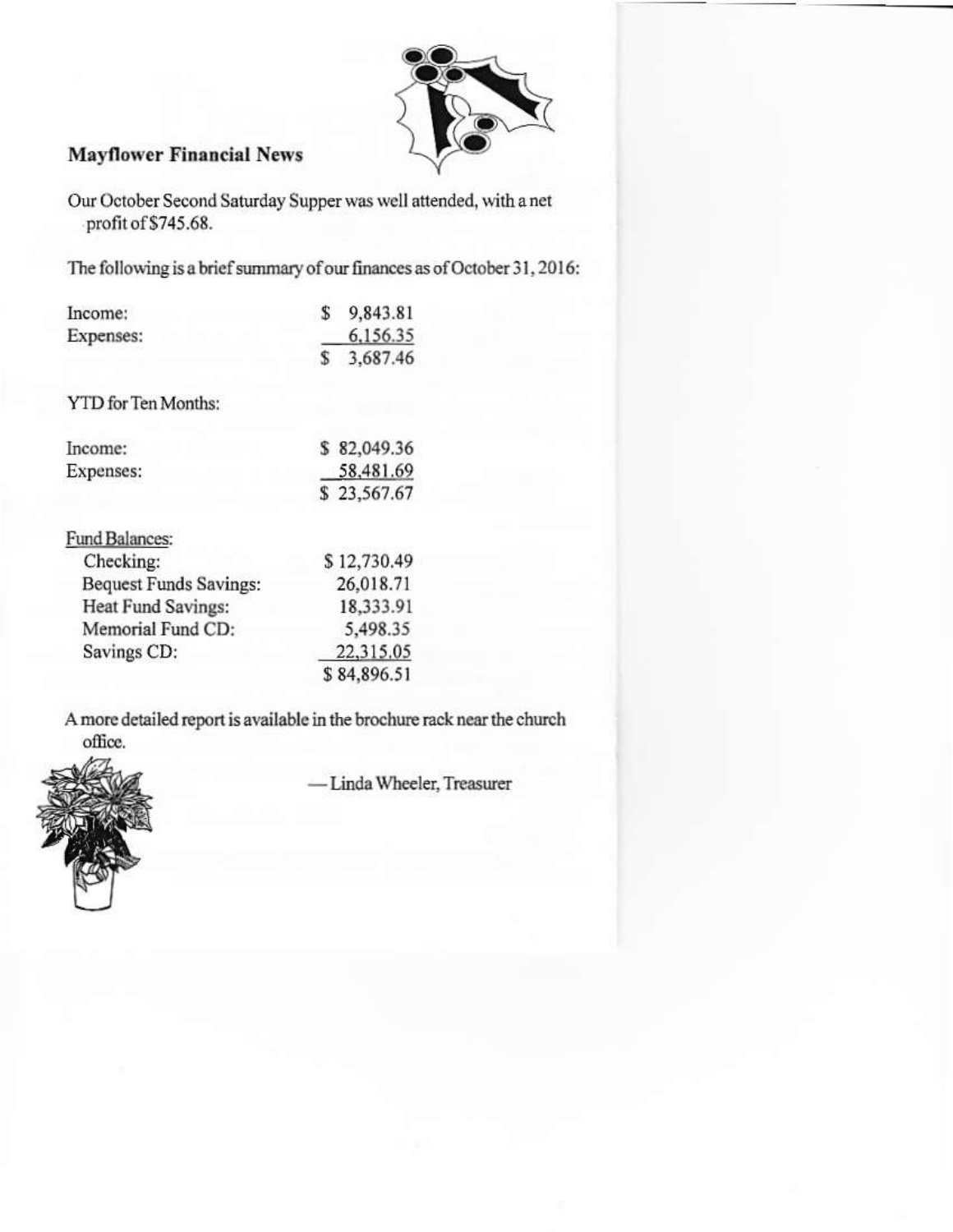

#### **Mayflower Financial News**

Our October Second Saturday Supper was well attended, with a net profit of \$745.68.

The following is a brief summary of our finances as of October 31, 2016:

| Income:                       | \$          | 9,843.81    |
|-------------------------------|-------------|-------------|
| Expenses:                     |             | 6.156.35    |
|                               | \$          | 3.687.46    |
| YTD for Ten Months:           |             |             |
| Income:                       |             | \$82,049.36 |
| Expenses:                     |             | 58,481.69   |
|                               | \$23,567.67 |             |
| Fund Balances:                |             |             |
| Checking:                     |             | \$12,730.49 |
| <b>Bequest Funds Savings:</b> |             | 26,018.71   |
| Heat Fund Savings:            |             | 18,333.91   |
| Memorial Fund CD:             |             | 5,498.35    |
| Savings CD:                   |             | 22,315.05   |
|                               |             | \$84,896.51 |
|                               |             |             |

A more detailed report is available in the brochure rack near the church office.



- Linda Wheeler, Treasurer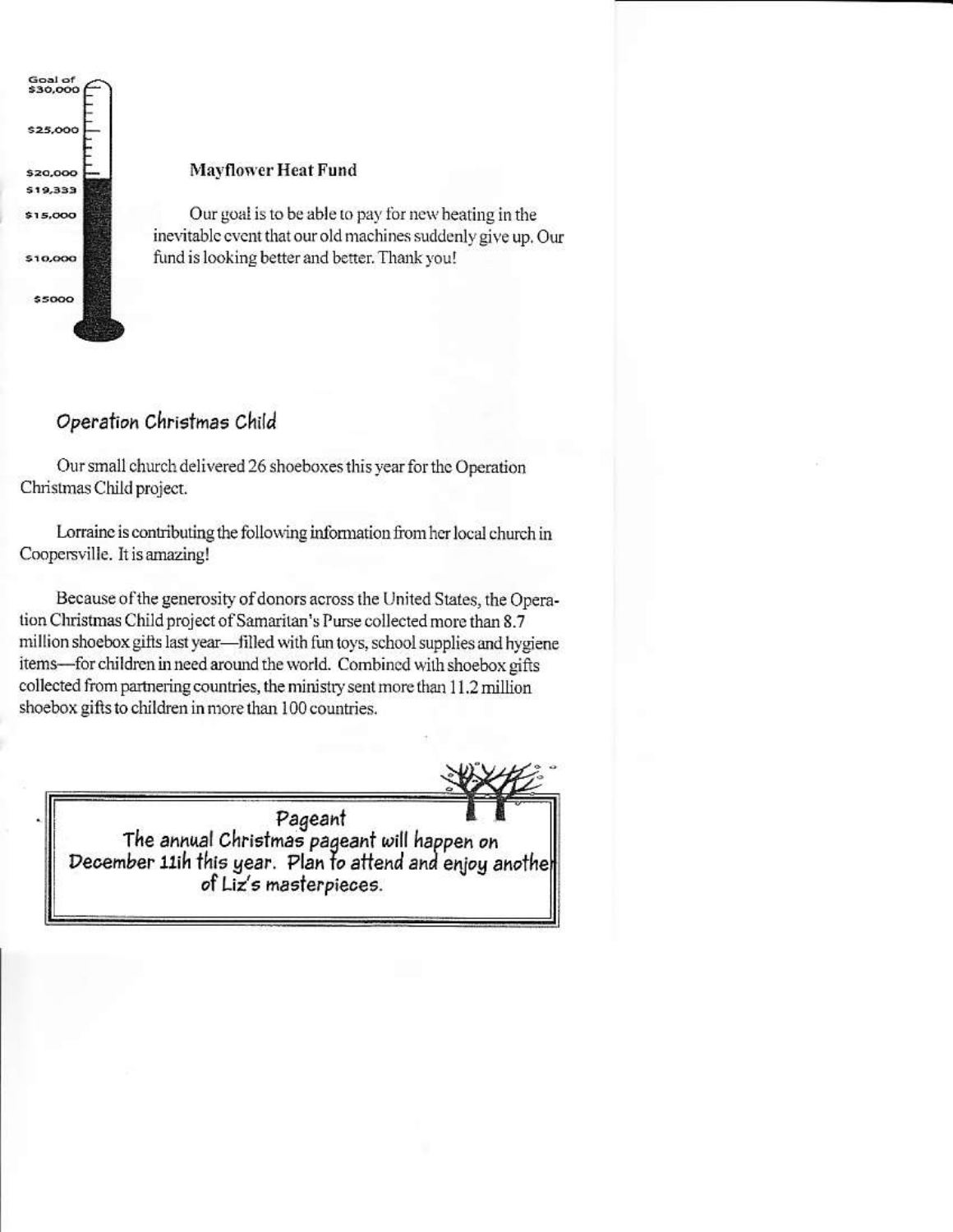

#### **Mayflower Heat Fund**

Our goal is to be able to pay for new heating in the inevitable event that our old machines suddenly give up. Our fund is looking better and better. Thank you!

## Operation Christmas Child

Our small church delivered 26 shoeboxes this year for the Operation Christmas Child project.

Lorraine is contributing the following information from her local church in Coopersville. It is amazing!

Because of the generosity of donors across the United States, the Operation Christmas Child project of Samaritan's Purse collected more than 8.7 million shoebox gifts last year-filled with fun toys, school supplies and hygiene items-for children in need around the world. Combined with shoebox gifts collected from partnering countries, the ministry sent more than 11.2 million shoebox gifts to children in more than 100 countries.

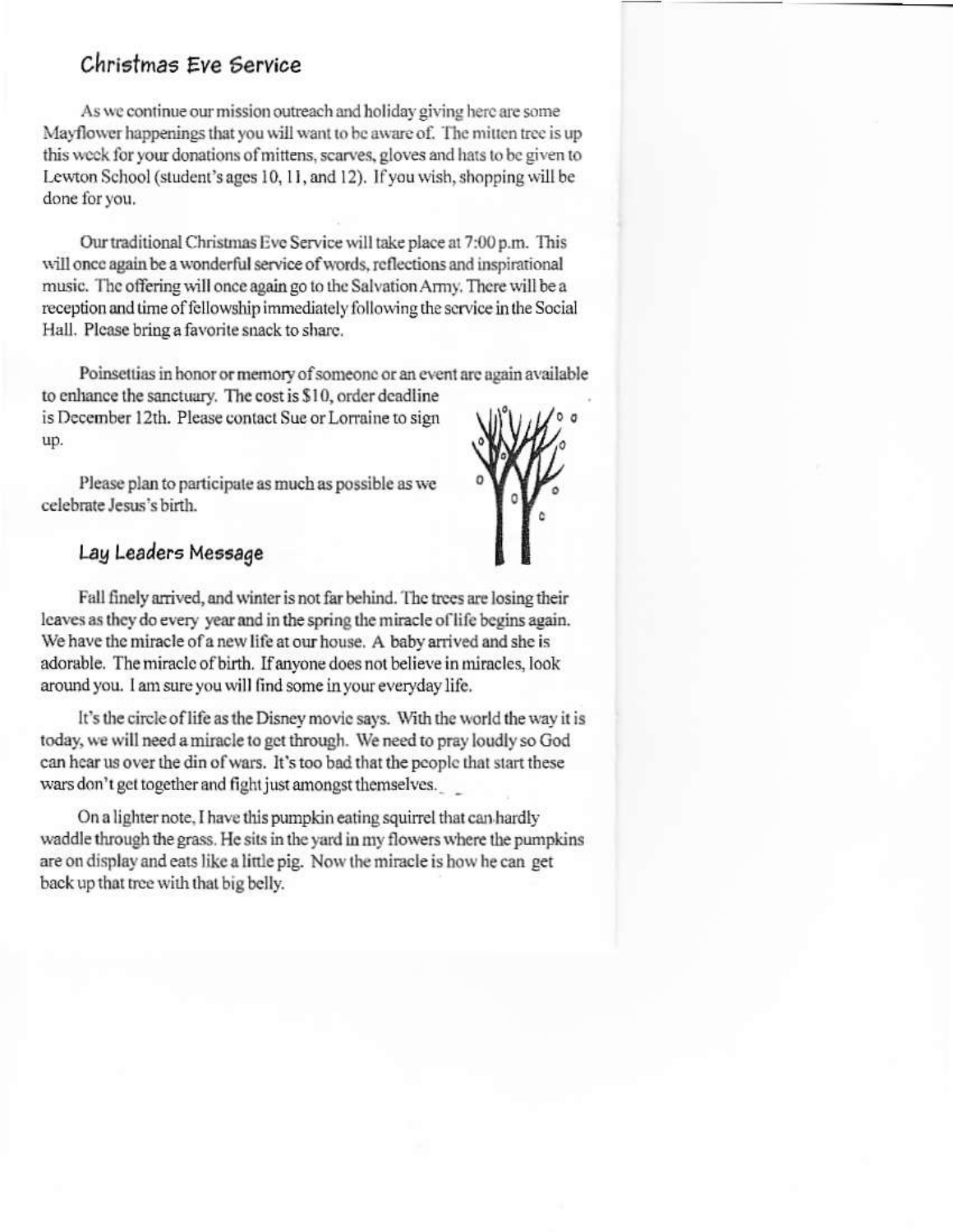# Christmas Eve Service

As we continue our mission outreach and holiday giving here are some Mayflower happenings that you will want to be aware of. The mitten tree is up this week for your donations of mittens, scarves, gloves and hats to be given to Lewton School (student's ages 10, 11, and 12). If you wish, shopping will be done for you.

Our traditional Christmas Eve Service will take place at 7:00 p.m. This will once again be a wonderful service of words, reflections and inspirational music. The offering will once again go to the Salvation Army. There will be a reception and time of fellowship immediately following the service in the Social Hall. Please bring a favorite snack to share.

Poinsettias in honor or memory of someone or an event are again available to enhance the sanctuary. The cost is \$10, order deadline

is December 12th. Please contact Sue or Lorraine to sign up.

Please plan to participate as much as possible as we celebrate Jesus's birth



#### Lay Leaders Message

Fall finely arrived, and winter is not far behind. The trees are losing their leaves as they do every year and in the spring the miracle of life begins again. We have the miracle of a new life at our house. A baby arrived and she is adorable. The miracle of birth. If anyone does not believe in miracles, look around you. I am sure you will find some in your everyday life.

It's the circle of life as the Disney movie says. With the world the way it is today, we will need a miracle to get through. We need to pray loudly so God can hear us over the din of wars. It's too bad that the people that start these wars don't get together and fight just amongst themselves.

On a lighter note, I have this pumpkin eating squirrel that can hardly waddle through the grass. He sits in the yard in my flowers where the pumpkins are on display and eats like a little pig. Now the miracle is how he can get back up that tree with that big belly.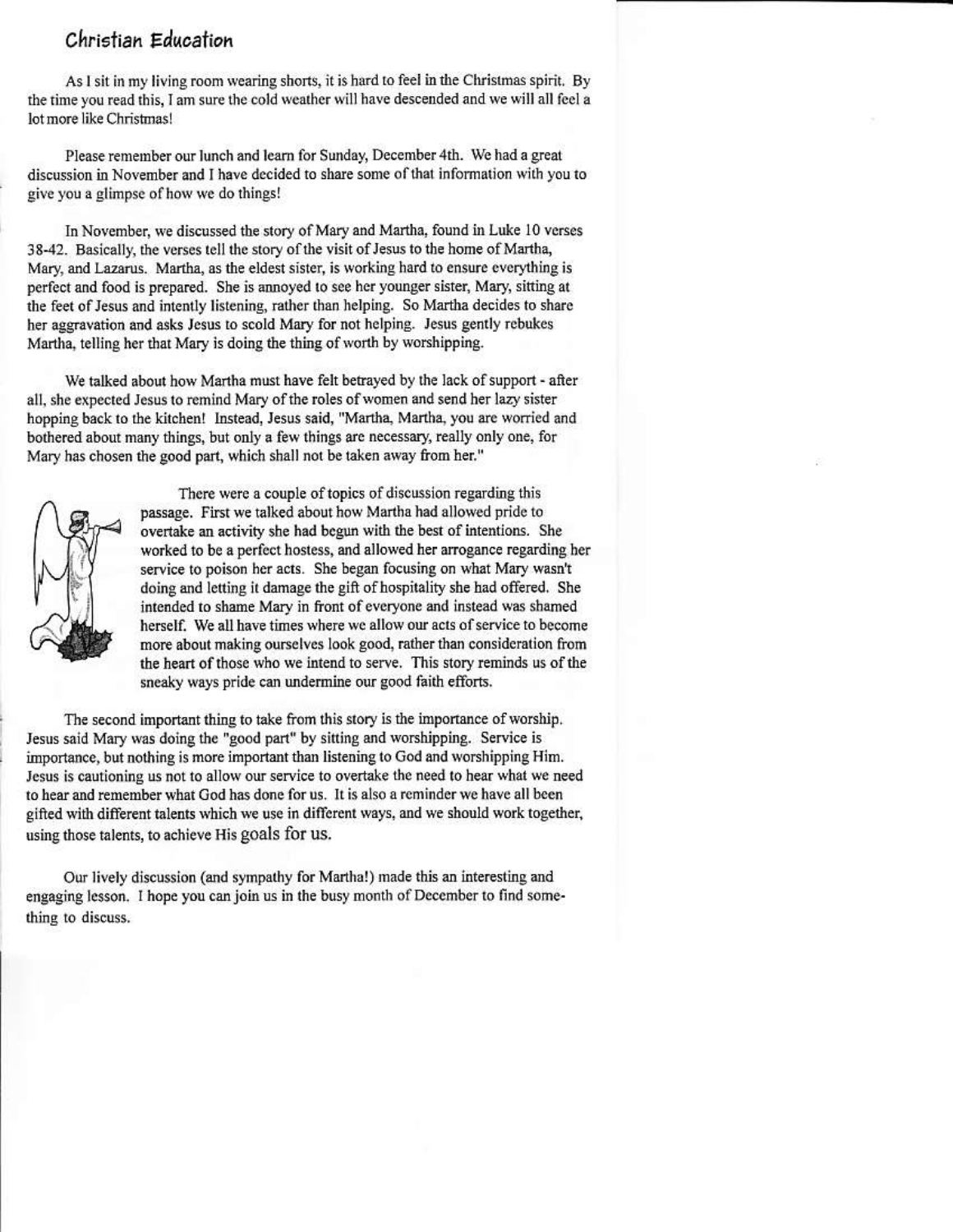### Christian Education

As I sit in my living room wearing shorts, it is hard to feel in the Christmas spirit. By the time you read this. I am sure the cold weather will have descended and we will all feel a lot more like Christmas!

Please remember our lunch and learn for Sunday, December 4th. We had a great discussion in November and I have decided to share some of that information with vou to give you a glimpse of how we do things!

In November, we discussed the story of Mary and Martha, found in Luke 10 verses 38-42. Basically, the verses tell the story of the visit of Jesus to the home of Martha, Mary, and Lazarus. Martha, as the eldest sister, is working hard to ensure everything is perfect and food is prepared. She is annoyed to see her younger sister, Mary, sitting at the feet of Jesus and intently listening, rather than helping. So Martha decides to share her aggravation and asks Jesus to scold Mary for not helping. Jesus gently rebukes Martha, telling her that Mary is doing the thing of worth by worshipping.

We talked about how Martha must have felt betrayed by the lack of support - after all, she expected Jesus to remind Mary of the roles of women and send her lazy sister hopping back to the kitchen! Instead, Jesus said, "Martha, Martha, you are worried and bothered about many things, but only a few things are necessary, really only one, for Mary has chosen the good part, which shall not be taken away from her."

There were a couple of topics of discussion regarding this passage. First we talked about how Martha had allowed pride to overtake an activity she had begun with the best of intentions. She worked to be a perfect hostess, and allowed her arrogance regarding her service to poison her acts. She began focusing on what Mary wasn't doing and letting it damage the gift of hospitality she had offered. She intended to shame Mary in front of everyone and instead was shamed herself. We all have times where we allow our acts of service to become more about making ourselves look good, rather than consideration from the heart of those who we intend to serve. This story reminds us of the sneaky ways pride can undermine our good faith efforts.

The second important thing to take from this story is the importance of worship. Jesus said Mary was doing the "good part" by sitting and worshipping. Service is importance, but nothing is more important than listening to God and worshipping Him. Jesus is cautioning us not to allow our service to overtake the need to hear what we need to hear and remember what God has done for us. It is also a reminder we have all been gifted with different talents which we use in different ways, and we should work together, using those talents, to achieve His goals for us.

Our lively discussion (and sympathy for Martha!) made this an interesting and engaging lesson. I hope you can join us in the busy month of December to find something to discuss.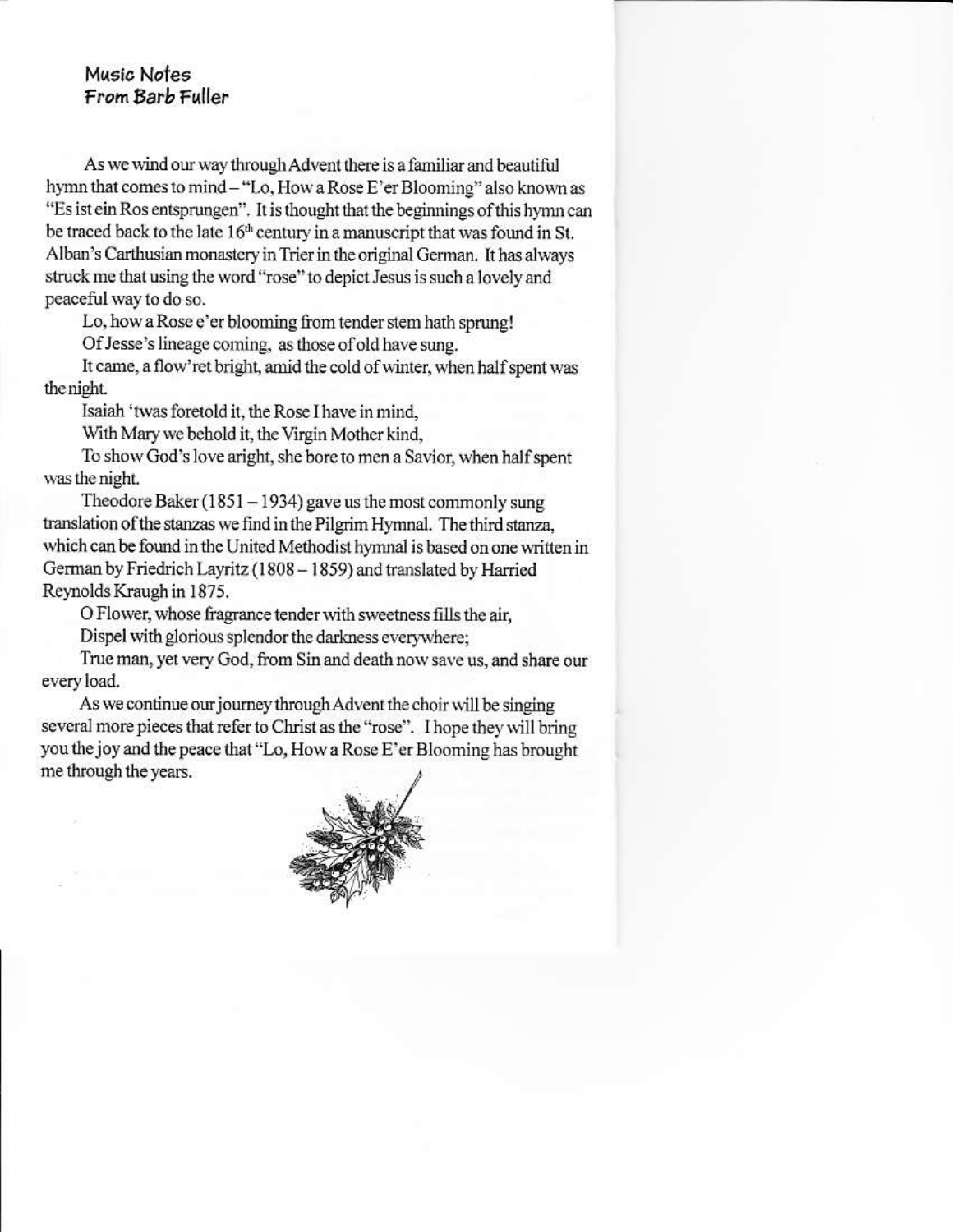#### Music Notes From Barb Fuller

As we wind our way through Advent there is a familiar and beautiful hymn that comes to mind - "Lo, How a Rose E'er Blooming" also known as "Es ist ein Ros entsprungen". It is thought that the beginnings of this hymn can be traced back to the late  $16<sup>th</sup>$  century in a manuscript that was found in St. Alban's Carthusian monastery in Trier in the original German. It has always struck me that using the word "rose" to depict Jesus is such a lovely and peaceful way to do so.

Lo, how a Rose e'er blooming from tender stem hath sprung!

Of Jesse's lineage coming, as those of old have sung.

It came, a flow'ret bright, amid the cold of winter, when half spent was the night.

Isaiah 'twas foretold it, the Rose I have in mind.

With Mary we behold it, the Virgin Mother kind,

To show God's love aright, she bore to men a Savior, when half spent was the night.

Theodore Baker  $(1851 - 1934)$  gave us the most commonly sung translation of the stanzas we find in the Pilgrim Hymnal. The third stanza, which can be found in the United Methodist hymnal is based on one written in German by Friedrich Layritz (1808 - 1859) and translated by Harried Reynolds Kraugh in 1875.

O Flower, whose fragrance tender with sweetness fills the air,

Dispel with glorious splendor the darkness everywhere:

True man, yet very God, from Sin and death now save us, and share our every load.

As we continue our journey through Advent the choir will be singing several more pieces that refer to Christ as the "rose". I hope they will bring you the joy and the peace that "Lo, How a Rose E'er Blooming has brought me through the years.

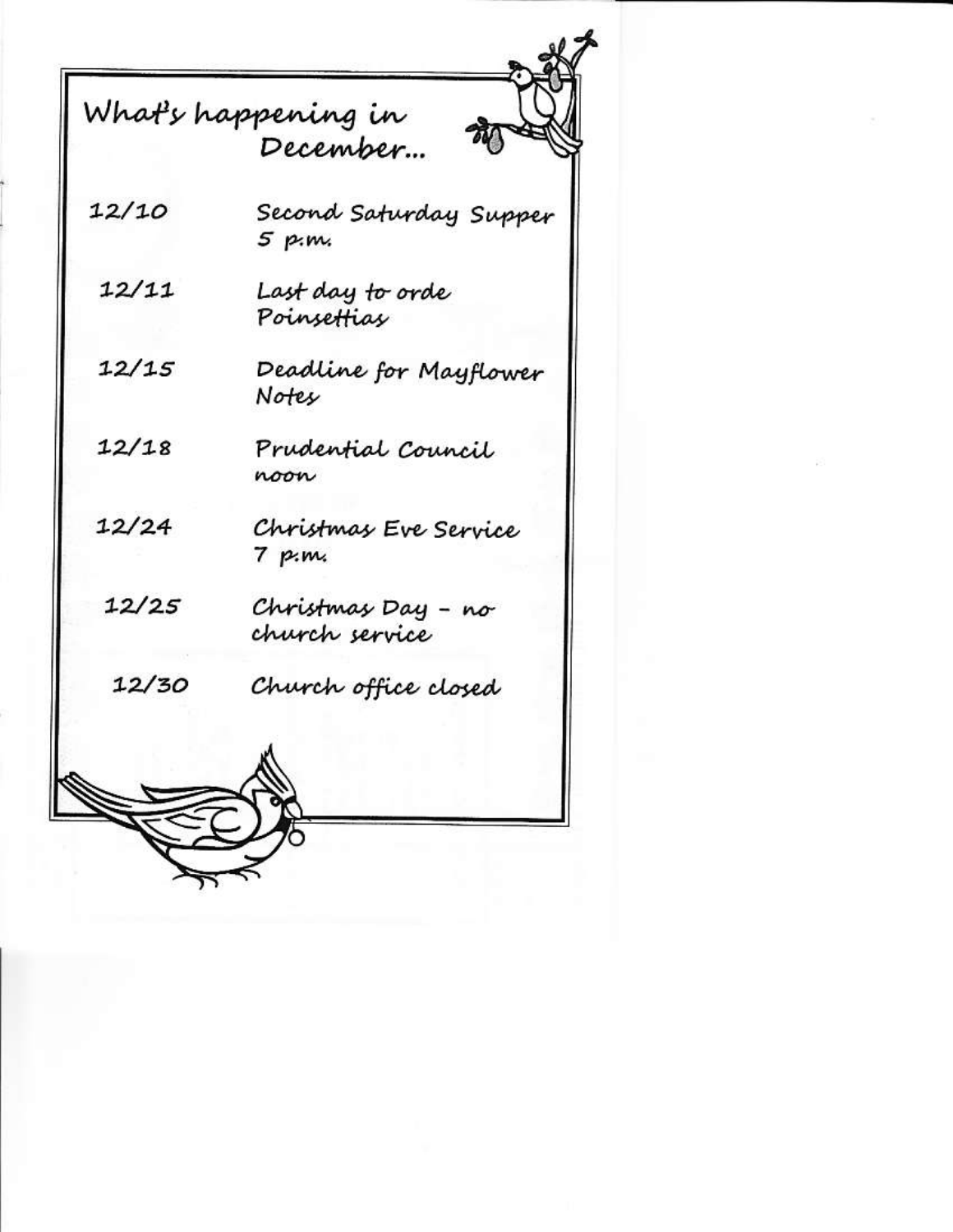|       | What's happening in<br>December…     |
|-------|--------------------------------------|
| 12/10 | Second Saturday Supper<br>5 p.m.     |
| 12/11 | Last day to orde<br>Poinsettias      |
| 12/15 | Deadline for Mayflower<br>Notes      |
| 12/18 | Prudential Council<br>noon           |
| 12/24 | Christmas Eve Service<br>7 p         |
| 12/25 | Christmas Day – no<br>church service |
| 12/30 | Church office closed                 |
|       |                                      |